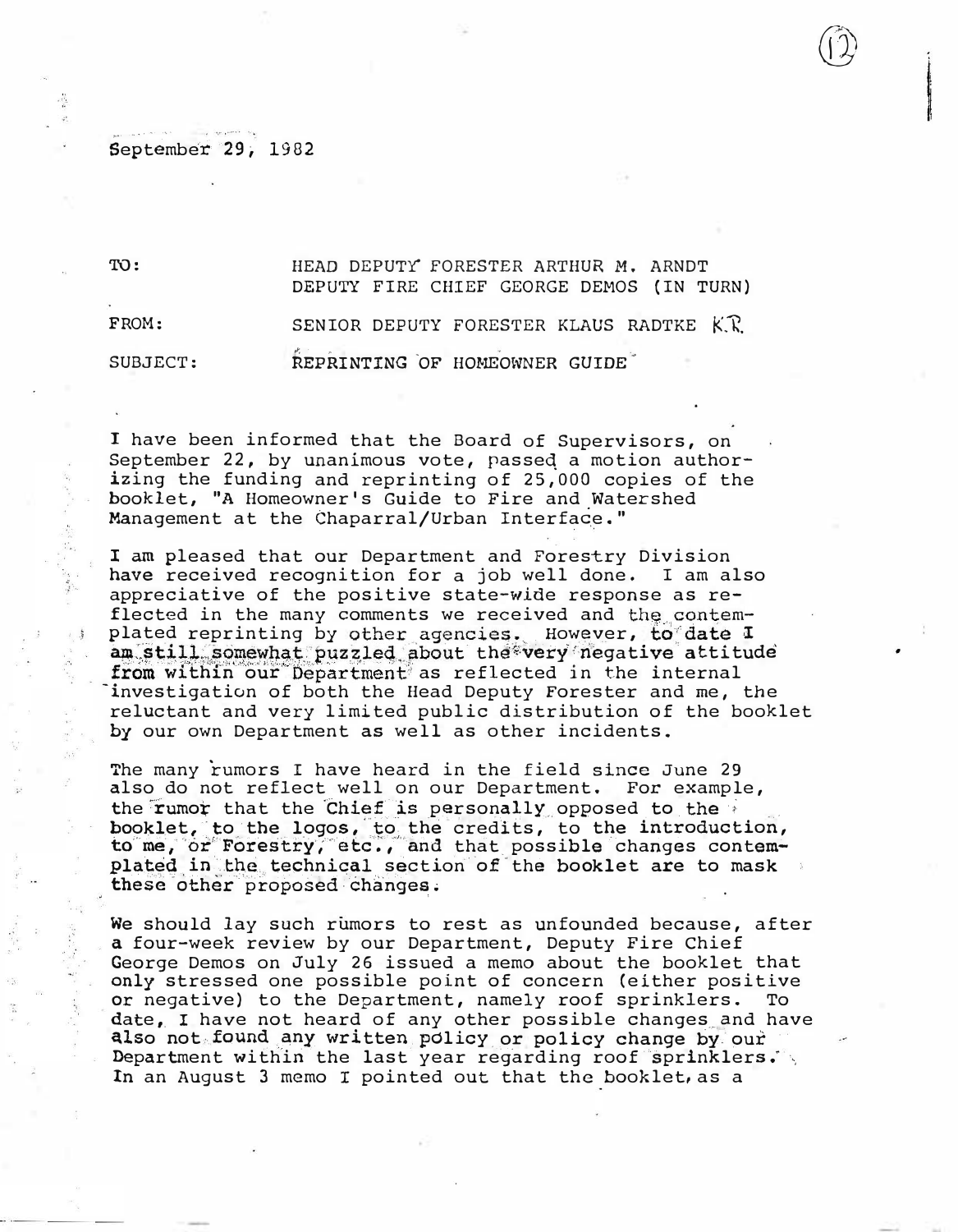## September 29, 1982

TO: HEAD DEPUTY FORESTER ARTHUR M. ARNDT DEPUTY FIRE CHIEF GEORGE DEMOS (IN TURN) FROM: SENIOR DEPUTY FORESTER KLAUS RADTKE K.K. SUBJECT: REPRINTING OF HOMEOWNER GUIDE

I have been informed that the Board of Supervisors, on September 22, by unanimous vote, passed a motion authorizing the funding and reprinting of 25,000 copies of the booklet, "A Homeowner's Guide to Fire and Watershed Management at the Chaparral/Urban Interface."

I am pleased that our Department and Forestry Division have received recognition for a job well done. I am also appreciative of the positive state-wide response as reflected in the many comments we received and the contemplated reprinting by other agencies. However, to date I am still somewhat puzzled about the very negative attitude from within our Department as reflected in the internal investigation of both the Head Deputy Forester and me, the reluctant and very limited public distribution of the booklet by our own Department as well as other incidents.

The many rumors I have heard in the field since June 29 also do not reflect well on our Department. For example, the rumor that the Chief is personally opposed to the booklet, to the logos, to the credits, to the introduction, to me, or Forestry, etc., and that possible changes contemplated in the technical section of the booklet are to mask these other proposed changes.

We should lay such rumors to rest as unfounded because, after a four-week review by our Department, Deputy Fire Chief George Demos on July 26 issued a memo about the booklet that only stressed one possible point of concern (either positive or negative) to the Department, namely roof sprinklers. To date, I have not heard of any other possible changes and have also not found any written policy or policy change by our Department within the last year regarding roof sprinklers. In an August 3 memo I pointed out that the booklet, as a